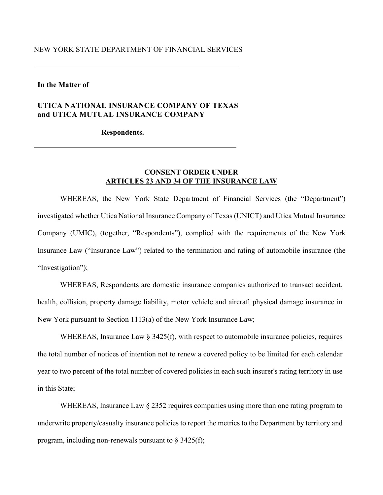#### NEW YORK STATE DEPARTMENT OF FINANCIAL SERVICES

#### **In the Matter of**

# **UTICA NATIONAL INSURANCE COMPANY OF TEXAS and UTICA MUTUAL INSURANCE COMPANY**

#### **Respondents.**

# **CONSENT ORDER UNDER ARTICLES 23 AND 34 OF THE INSURANCE LAW**

WHEREAS, the New York State Department of Financial Services (the "Department") investigated whether Utica National Insurance Company of Texas (UNICT) and Utica Mutual Insurance Company (UMIC), (together, "Respondents"), complied with the requirements of the New York Insurance Law ("Insurance Law") related to the termination and rating of automobile insurance (the "Investigation");

WHEREAS, Respondents are domestic insurance companies authorized to transact accident, health, collision, property damage liability, motor vehicle and aircraft physical damage insurance in New York pursuant to Section 1113(a) of the New York Insurance Law;

WHEREAS, Insurance Law § 3425(f), with respect to automobile insurance policies, requires the total number of notices of intention not to renew a covered policy to be limited for each calendar year to two percent of the total number of covered policies in each such insurer's rating territory in use in this State;

WHEREAS, Insurance Law  $\S 2352$  requires companies using more than one rating program to underwrite property/casualty insurance policies to report the metrics to the Department by territory and program, including non-renewals pursuant to  $\S$  3425(f);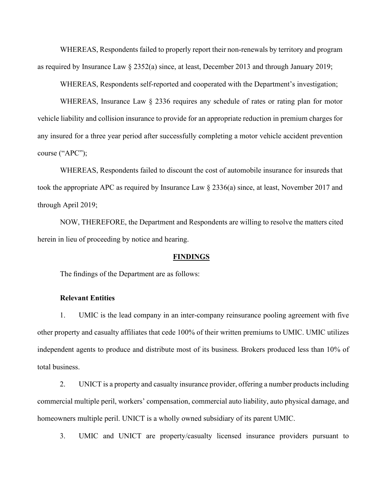WHEREAS, Respondents failed to properly report their non-renewals by territory and program as required by Insurance Law § 2352(a) since, at least, December 2013 and through January 2019;

WHEREAS, Respondents self-reported and cooperated with the Department's investigation;

WHEREAS, Insurance Law § 2336 requires any schedule of rates or rating plan for motor vehicle liability and collision insurance to provide for an appropriate reduction in premium charges for any insured for a three year period after successfully completing a motor vehicle accident prevention course ("APC");

WHEREAS, Respondents failed to discount the cost of automobile insurance for insureds that took the appropriate APC as required by Insurance Law § 2336(a) since, at least, November 2017 and through April 2019;

NOW, THEREFORE, the Department and Respondents are willing to resolve the matters cited herein in lieu of proceeding by notice and hearing.

#### **FINDINGS**

The findings of the Department are as follows:

#### **Relevant Entities**

1. UMIC is the lead company in an inter-company reinsurance pooling agreement with five other property and casualty affiliates that cede 100% of their written premiums to UMIC. UMIC utilizes independent agents to produce and distribute most of its business. Brokers produced less than 10% of total business.

2. UNICT is a property and casualty insurance provider, offering a number products including commercial multiple peril, workers' compensation, commercial auto liability, auto physical damage, and homeowners multiple peril. UNICT is a wholly owned subsidiary of its parent UMIC.

3. UMIC and UNICT are property/casualty licensed insurance providers pursuant to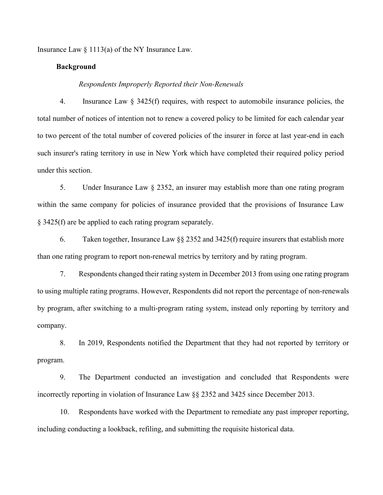Insurance Law  $\S 1113(a)$  of the NY Insurance Law.

# **Background**

#### *Respondents Improperly Reported their Non-Renewals*

4. Insurance Law § 3425(f) requires, with respect to automobile insurance policies, the total number of notices of intention not to renew a covered policy to be limited for each calendar year to two percent of the total number of covered policies of the insurer in force at last year-end in each such insurer's rating territory in use in New York which have completed their required policy period under this section.

5. Under Insurance Law § 2352, an insurer may establish more than one rating program within the same company for policies of insurance provided that the provisions of Insurance Law § 3425(f) are be applied to each rating program separately.

6. Taken together, Insurance Law §§ 2352 and 3425(f) require insurers that establish more than one rating program to report non-renewal metrics by territory and by rating program.

7. Respondents changed their rating system in December 2013 from using one rating program to using multiple rating programs. However, Respondents did not report the percentage of non-renewals by program, after switching to a multi-program rating system, instead only reporting by territory and company.

8. In 2019, Respondents notified the Department that they had not reported by territory or program.

9. The Department conducted an investigation and concluded that Respondents were incorrectly reporting in violation of Insurance Law §§ 2352 and 3425 since December 2013.

10. Respondents have worked with the Department to remediate any past improper reporting, including conducting a lookback, refiling, and submitting the requisite historical data.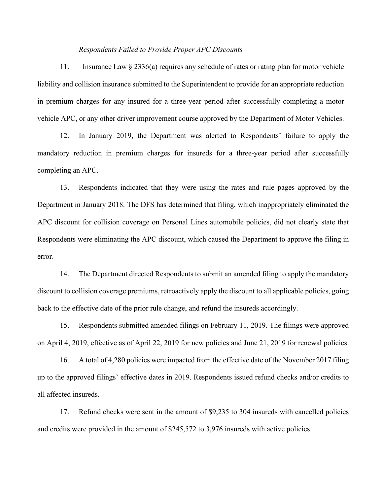#### *Respondents Failed to Provide Proper APC Discounts*

11. Insurance Law § 2336(a) requires any schedule of rates or rating plan for motor vehicle liability and collision insurance submitted to the Superintendent to provide for an appropriate reduction in premium charges for any insured for a three-year period after successfully completing a motor vehicle APC, or any other driver improvement course approved by the Department of Motor Vehicles.

12. In January 2019, the Department was alerted to Respondents' failure to apply the mandatory reduction in premium charges for insureds for a three-year period after successfully completing an APC.

13. Respondents indicated that they were using the rates and rule pages approved by the Department in January 2018. The DFS has determined that filing, which inappropriately eliminated the APC discount for collision coverage on Personal Lines automobile policies, did not clearly state that Respondents were eliminating the APC discount, which caused the Department to approve the filing in error.

14. The Department directed Respondents to submit an amended filing to apply the mandatory discount to collision coverage premiums, retroactively apply the discount to all applicable policies, going back to the effective date of the prior rule change, and refund the insureds accordingly.

15. Respondents submitted amended filings on February 11, 2019. The filings were approved on April 4, 2019, effective as of April 22, 2019 for new policies and June 21, 2019 for renewal policies.

16. A total of 4,280 policies were impacted from the effective date of the November 2017 filing up to the approved filings' effective dates in 2019. Respondents issued refund checks and/or credits to all affected insureds.

17. Refund checks were sent in the amount of \$9,235 to 304 insureds with cancelled policies and credits were provided in the amount of \$245,572 to 3,976 insureds with active policies.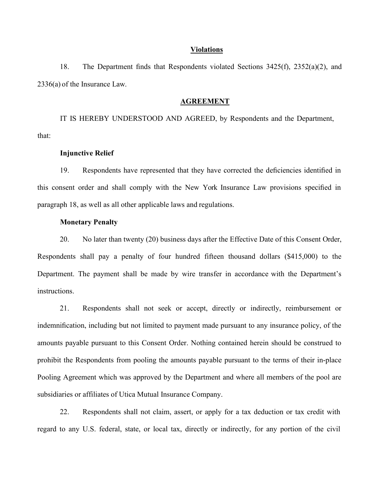#### **Violations**

18. The Department finds that Respondents violated Sections 3425(f), 2352(a)(2), and 2336(a) of the Insurance Law.

#### **AGREEMENT**

IT IS HEREBY UNDERSTOOD AND AGREED, by Respondents and the Department, that:

#### **Injunctive Relief**

19. Respondents have represented that they have corrected the deficiencies identified in this consent order and shall comply with the New York Insurance Law provisions specified in paragraph 18, as well as all other applicable laws and regulations.

#### **Monetary Penalty**

20. No later than twenty (20) business days after the Effective Date of this Consent Order, Respondents shall pay a penalty of four hundred fifteen thousand dollars (\$415,000) to the Department. The payment shall be made by wire transfer in accordance with the Department's instructions.

21. Respondents shall not seek or accept, directly or indirectly, reimbursement or indemnification, including but not limited to payment made pursuant to any insurance policy, of the amounts payable pursuant to this Consent Order. Nothing contained herein should be construed to prohibit the Respondents from pooling the amounts payable pursuant to the terms of their in-place Pooling Agreement which was approved by the Department and where all members of the pool are subsidiaries or affiliates of Utica Mutual Insurance Company.

22. Respondents shall not claim, assert, or apply for a tax deduction or tax credit with regard to any U.S. federal, state, or local tax, directly or indirectly, for any portion of the civil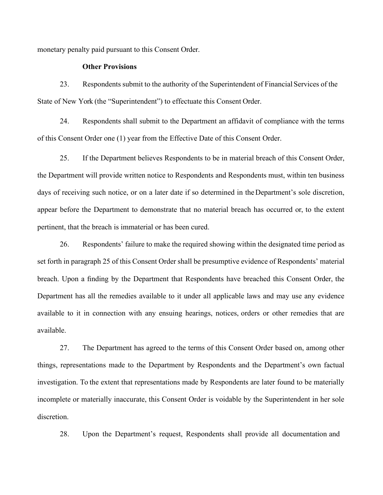monetary penalty paid pursuant to this Consent Order.

## **Other Provisions**

23. Respondents submit to the authority of the Superintendent of Financial Services of the State of New York (the "Superintendent") to effectuate this Consent Order.

24. Respondents shall submit to the Department an affidavit of compliance with the terms of this Consent Order one (1) year from the Effective Date of this Consent Order.

25. If the Department believes Respondents to be in material breach of this Consent Order, the Department will provide written notice to Respondents and Respondents must, within ten business days of receiving such notice, or on a later date if so determined in the Department's sole discretion, appear before the Department to demonstrate that no material breach has occurred or, to the extent pertinent, that the breach is immaterial or has been cured.

26. Respondents' failure to make the required showing within the designated time period as set forth in paragraph 25 of this Consent Order shall be presumptive evidence of Respondents' material breach. Upon a finding by the Department that Respondents have breached this Consent Order, the Department has all the remedies available to it under all applicable laws and may use any evidence available to it in connection with any ensuing hearings, notices, orders or other remedies that are available.

27. The Department has agreed to the terms of this Consent Order based on, among other things, representations made to the Department by Respondents and the Department's own factual investigation. To the extent that representations made by Respondents are later found to be materially incomplete or materially inaccurate, this Consent Order is voidable by the Superintendent in her sole discretion.

28. Upon the Department's request, Respondents shall provide all documentation and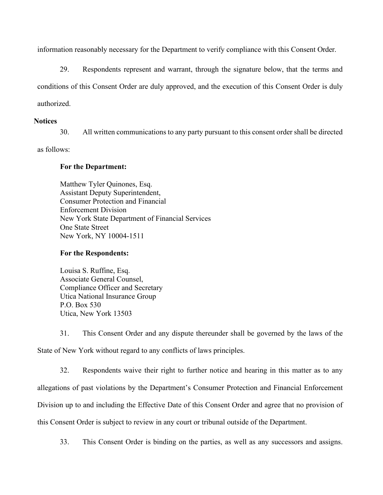information reasonably necessary for the Department to verify compliance with this Consent Order.

29. Respondents represent and warrant, through the signature below, that the terms and conditions of this Consent Order are duly approved, and the execution of this Consent Order is duly authorized.

## **Notices**

30. All written communications to any party pursuant to this consent order shall be directed

as follows:

# **For the Department:**

Matthew Tyler Quinones, Esq. Assistant Deputy Superintendent, Consumer Protection and Financial Enforcement Division New York State Department of Financial Services One State Street New York, NY 10004-1511

# **For the Respondents:**

Louisa S. Ruffine, Esq. Associate General Counsel, Compliance Officer and Secretary Utica National Insurance Group P.O. Box 530 Utica, New York 13503

31. This Consent Order and any dispute thereunder shall be governed by the laws of the State of New York without regard to any conflicts of laws principles.

32. Respondents waive their right to further notice and hearing in this matter as to any allegations of past violations by the Department's Consumer Protection and Financial Enforcement Division up to and including the Effective Date of this Consent Order and agree that no provision of this Consent Order is subject to review in any court or tribunal outside of the Department.

33. This Consent Order is binding on the parties, as well as any successors and assigns.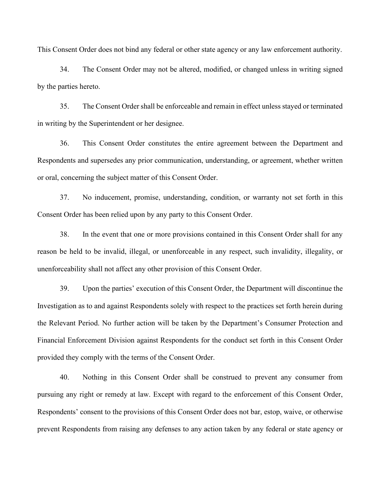This Consent Order does not bind any federal or other state agency or any law enforcement authority.

34. The Consent Order may not be altered, modified, or changed unless in writing signed by the parties hereto.

35. The Consent Order shall be enforceable and remain in effect unless stayed or terminated in writing by the Superintendent or her designee.

36. This Consent Order constitutes the entire agreement between the Department and Respondents and supersedes any prior communication, understanding, or agreement, whether written or oral, concerning the subject matter of this Consent Order.

37. No inducement, promise, understanding, condition, or warranty not set forth in this Consent Order has been relied upon by any party to this Consent Order.

38. In the event that one or more provisions contained in this Consent Order shall for any reason be held to be invalid, illegal, or unenforceable in any respect, such invalidity, illegality, or unenforceability shall not affect any other provision of this Consent Order.

39. Upon the parties' execution of this Consent Order, the Department will discontinue the Investigation as to and against Respondents solely with respect to the practices set forth herein during the Relevant Period. No further action will be taken by the Department's Consumer Protection and Financial Enforcement Division against Respondents for the conduct set forth in this Consent Order provided they comply with the terms of the Consent Order.

40. Nothing in this Consent Order shall be construed to prevent any consumer from pursuing any right or remedy at law. Except with regard to the enforcement of this Consent Order, Respondents' consent to the provisions of this Consent Order does not bar, estop, waive, or otherwise prevent Respondents from raising any defenses to any action taken by any federal or state agency or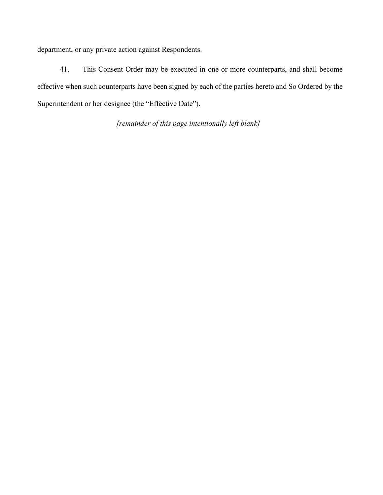department, or any private action against Respondents.

41. This Consent Order may be executed in one or more counterparts, and shall become effective when such counterparts have been signed by each of the parties hereto and So Ordered by the Superintendent or her designee (the "Effective Date").

*[remainder of this page intentionally left blank]*